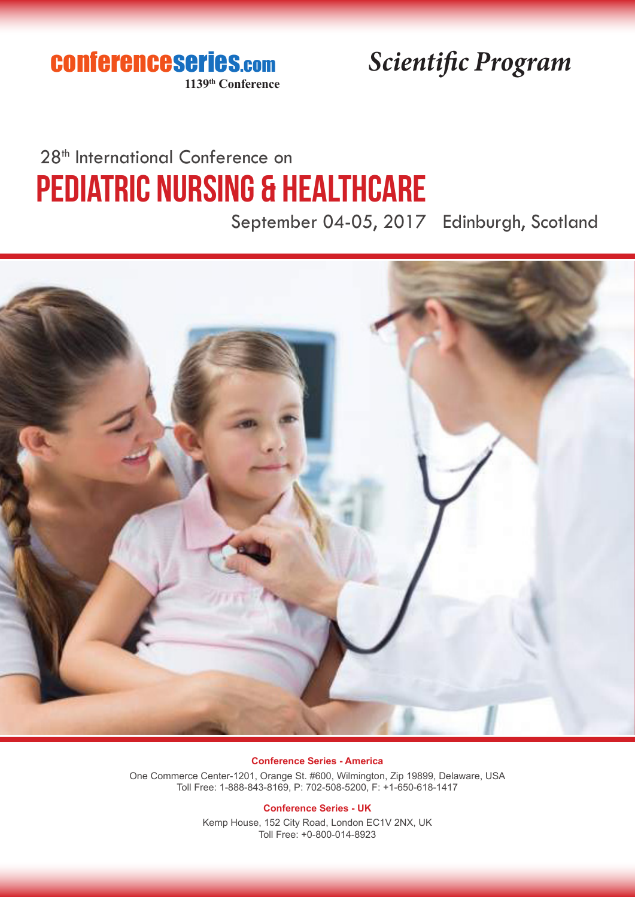conferenceseries.com **1139th Conference**

*Scientific Program*

# 28<sup>th</sup> International Conference on Pediatric Nursing & Healthcare

September 04-05, 2017 Edinburgh, Scotland



### **Conference Series - America**

One Commerce Center-1201, Orange St. #600, Wilmington, Zip 19899, Delaware, USA Toll Free: 1-888-843-8169, P: 702-508-5200, F: +1-650-618-1417

## **Conference Series - UK**

Kemp House, 152 City Road, London EC1V 2NX, UK Toll Free: +0-800-014-8923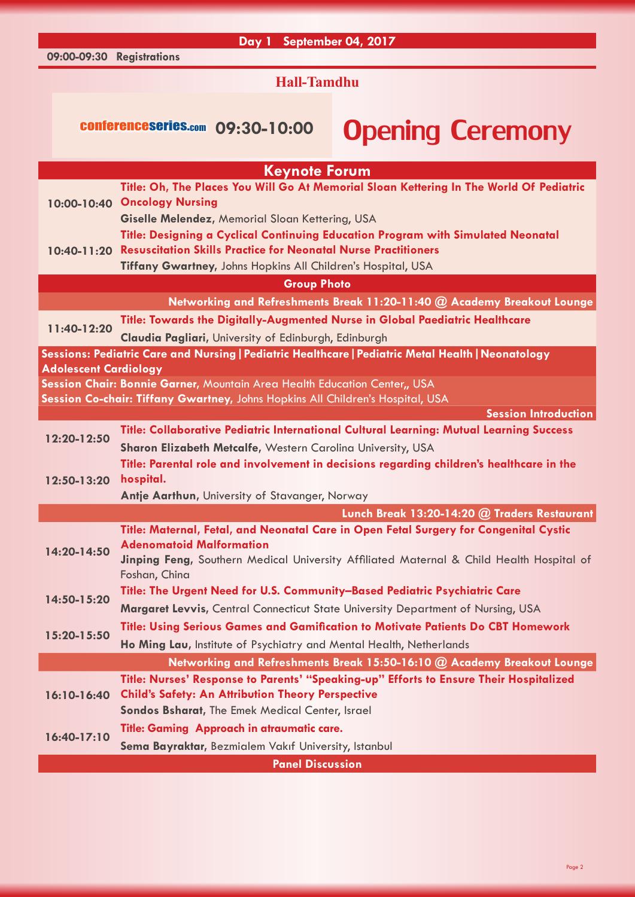## **Day 1 September 04, 2017**

**Hall-Tamdhu**

**09:00-09:30 Registrations**

# conferenceseries.com 09:30-10:00 Opening Ceremony

| Title: Oh, The Places You Will Go At Memorial Sloan Kettering In The World Of Pediatric<br>10:00-10:40 Oncology Nursing<br>Giselle Melendez, Memorial Sloan Kettering, USA<br>Title: Designing a Cyclical Continuing Education Program with Simulated Neonatal<br><b>Resuscitation Skills Practice for Neonatal Nurse Practitioners</b><br>10:40-11:20<br>Tiffany Gwartney, Johns Hopkins All Children's Hospital, USA<br><b>Group Photo</b><br>Networking and Refreshments Break 11:20-11:40 @ Academy Breakout Lounge |  |  |
|-------------------------------------------------------------------------------------------------------------------------------------------------------------------------------------------------------------------------------------------------------------------------------------------------------------------------------------------------------------------------------------------------------------------------------------------------------------------------------------------------------------------------|--|--|
|                                                                                                                                                                                                                                                                                                                                                                                                                                                                                                                         |  |  |
|                                                                                                                                                                                                                                                                                                                                                                                                                                                                                                                         |  |  |
|                                                                                                                                                                                                                                                                                                                                                                                                                                                                                                                         |  |  |
|                                                                                                                                                                                                                                                                                                                                                                                                                                                                                                                         |  |  |
|                                                                                                                                                                                                                                                                                                                                                                                                                                                                                                                         |  |  |
|                                                                                                                                                                                                                                                                                                                                                                                                                                                                                                                         |  |  |
|                                                                                                                                                                                                                                                                                                                                                                                                                                                                                                                         |  |  |
|                                                                                                                                                                                                                                                                                                                                                                                                                                                                                                                         |  |  |
| Title: Towards the Digitally-Augmented Nurse in Global Paediatric Healthcare<br>11:40-12:20                                                                                                                                                                                                                                                                                                                                                                                                                             |  |  |
| Claudia Pagliari, University of Edinburgh, Edinburgh                                                                                                                                                                                                                                                                                                                                                                                                                                                                    |  |  |
| Sessions: Pediatric Care and Nursing   Pediatric Healthcare   Pediatric Metal Health   Neonatology                                                                                                                                                                                                                                                                                                                                                                                                                      |  |  |
| <b>Adolescent Cardiology</b>                                                                                                                                                                                                                                                                                                                                                                                                                                                                                            |  |  |
| Session Chair: Bonnie Garner, Mountain Area Health Education Center,, USA                                                                                                                                                                                                                                                                                                                                                                                                                                               |  |  |
| Session Co-chair: Tiffany Gwartney, Johns Hopkins All Children's Hospital, USA<br><b>Session Introduction</b>                                                                                                                                                                                                                                                                                                                                                                                                           |  |  |
| <b>Title: Collaborative Pediatric International Cultural Learning: Mutual Learning Success</b>                                                                                                                                                                                                                                                                                                                                                                                                                          |  |  |
| 12:20-12:50                                                                                                                                                                                                                                                                                                                                                                                                                                                                                                             |  |  |
| Sharon Elizabeth Metcalfe, Western Carolina University, USA                                                                                                                                                                                                                                                                                                                                                                                                                                                             |  |  |
| Title: Parental role and involvement in decisions regarding children's healthcare in the<br>hospital.<br>12:50-13:20                                                                                                                                                                                                                                                                                                                                                                                                    |  |  |
| Antje Aarthun, University of Stavanger, Norway                                                                                                                                                                                                                                                                                                                                                                                                                                                                          |  |  |
| Lunch Break 13:20-14:20 @ Traders Restaurant                                                                                                                                                                                                                                                                                                                                                                                                                                                                            |  |  |
| Title: Maternal, Fetal, and Neonatal Care in Open Fetal Surgery for Congenital Cystic                                                                                                                                                                                                                                                                                                                                                                                                                                   |  |  |
| <b>Adenomatoid Malformation</b>                                                                                                                                                                                                                                                                                                                                                                                                                                                                                         |  |  |
| 14:20-14:50<br>Jinping Feng, Southern Medical University Affiliated Maternal & Child Health Hospital of                                                                                                                                                                                                                                                                                                                                                                                                                 |  |  |
| Foshan, China                                                                                                                                                                                                                                                                                                                                                                                                                                                                                                           |  |  |
| Title: The Urgent Need for U.S. Community-Based Pediatric Psychiatric Care<br>14:50-15:20                                                                                                                                                                                                                                                                                                                                                                                                                               |  |  |
| Margaret Levvis, Central Connecticut State University Department of Nursing, USA                                                                                                                                                                                                                                                                                                                                                                                                                                        |  |  |
| <b>Title: Using Serious Games and Gamification to Motivate Patients Do CBT Homework</b>                                                                                                                                                                                                                                                                                                                                                                                                                                 |  |  |
| 15:20-15:50<br>Ho Ming Lau, Institute of Psychiatry and Mental Health, Netherlands                                                                                                                                                                                                                                                                                                                                                                                                                                      |  |  |
| Networking and Refreshments Break 15:50-16:10 @ Academy Breakout Lounge                                                                                                                                                                                                                                                                                                                                                                                                                                                 |  |  |
| Title: Nurses' Response to Parents' "Speaking-up" Efforts to Ensure Their Hospitalized                                                                                                                                                                                                                                                                                                                                                                                                                                  |  |  |
| <b>Child's Safety: An Attribution Theory Perspective</b><br>16:10-16:40                                                                                                                                                                                                                                                                                                                                                                                                                                                 |  |  |
| Sondos Bsharat, The Emek Medical Center, Israel                                                                                                                                                                                                                                                                                                                                                                                                                                                                         |  |  |
| Title: Gaming Approach in atraumatic care.                                                                                                                                                                                                                                                                                                                                                                                                                                                                              |  |  |
| $16:40-17:10$<br>Sema Bayraktar, Bezmialem Vakıf University, Istanbul                                                                                                                                                                                                                                                                                                                                                                                                                                                   |  |  |
| <b>Panel Discussion</b>                                                                                                                                                                                                                                                                                                                                                                                                                                                                                                 |  |  |